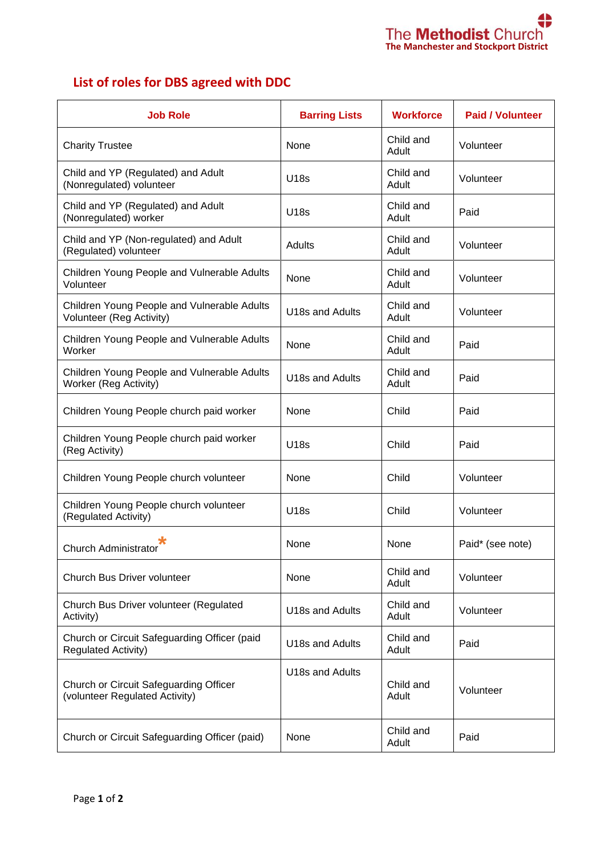

## **List of roles for DBS agreed with DDC**

| <b>Job Role</b>                                                            | <b>Barring Lists</b> | <b>Workforce</b>   | <b>Paid / Volunteer</b> |
|----------------------------------------------------------------------------|----------------------|--------------------|-------------------------|
| <b>Charity Trustee</b>                                                     | None                 | Child and<br>Adult | Volunteer               |
| Child and YP (Regulated) and Adult<br>(Nonregulated) volunteer             | <b>U18s</b>          | Child and<br>Adult | Volunteer               |
| Child and YP (Regulated) and Adult<br>(Nonregulated) worker                | <b>U18s</b>          | Child and<br>Adult | Paid                    |
| Child and YP (Non-regulated) and Adult<br>(Regulated) volunteer            | Adults               | Child and<br>Adult | Volunteer               |
| Children Young People and Vulnerable Adults<br>Volunteer                   | None                 | Child and<br>Adult | Volunteer               |
| Children Young People and Vulnerable Adults<br>Volunteer (Reg Activity)    | U18s and Adults      | Child and<br>Adult | Volunteer               |
| Children Young People and Vulnerable Adults<br>Worker                      | None                 | Child and<br>Adult | Paid                    |
| Children Young People and Vulnerable Adults<br>Worker (Reg Activity)       | U18s and Adults      | Child and<br>Adult | Paid                    |
| Children Young People church paid worker                                   | None                 | Child              | Paid                    |
| Children Young People church paid worker<br>(Reg Activity)                 | <b>U18s</b>          | Child              | Paid                    |
| Children Young People church volunteer                                     | None                 | Child              | Volunteer               |
| Children Young People church volunteer<br>(Regulated Activity)             | <b>U18s</b>          | Child              | Volunteer               |
| <b>Church Administrator</b>                                                | None                 | None               | Paid* (see note)        |
| Church Bus Driver volunteer                                                | None                 | Child and<br>Adult | Volunteer               |
| Church Bus Driver volunteer (Regulated<br>Activity)                        | U18s and Adults      | Child and<br>Adult | Volunteer               |
| Church or Circuit Safeguarding Officer (paid<br><b>Regulated Activity)</b> | U18s and Adults      | Child and<br>Adult | Paid                    |
| Church or Circuit Safeguarding Officer<br>(volunteer Regulated Activity)   | U18s and Adults      | Child and<br>Adult | Volunteer               |
| Church or Circuit Safeguarding Officer (paid)                              | None                 | Child and<br>Adult | Paid                    |